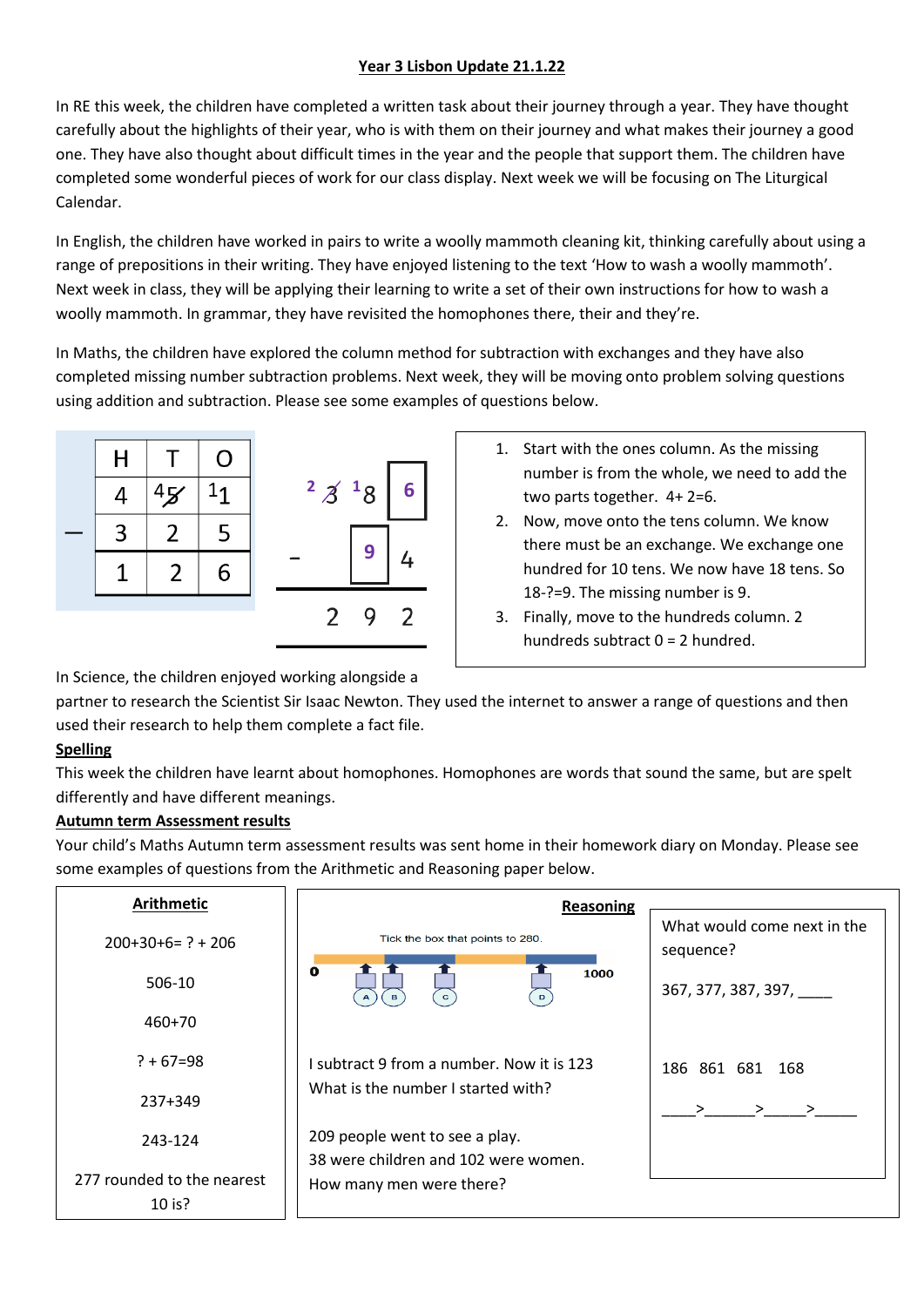#### **Year 3 Lisbon Update 21.1.22**

In RE this week, the children have completed a written task about their journey through a year. They have thought carefully about the highlights of their year, who is with them on their journey and what makes their journey a good one. They have also thought about difficult times in the year and the people that support them. The children have completed some wonderful pieces of work for our class display. Next week we will be focusing on The Liturgical Calendar.

In English, the children have worked in pairs to write a woolly mammoth cleaning kit, thinking carefully about using a range of prepositions in their writing. They have enjoyed listening to the text 'How to wash a woolly mammoth'. Next week in class, they will be applying their learning to write a set of their own instructions for how to wash a woolly mammoth. In grammar, they have revisited the homophones there, their and they're.

In Maths, the children have explored the column method for subtraction with exchanges and they have also completed missing number subtraction problems. Next week, they will be moving onto problem solving questions using addition and subtraction. Please see some examples of questions below.



In Science, the children enjoyed working alongside a

- 1. Start with the ones column. As the missing number is from the whole, we need to add the two parts together. 4+ 2=6.
- 2. Now, move onto the tens column. We know there must be an exchange. We exchange one hundred for 10 tens. We now have 18 tens. So 18-?=9. The missing number is 9.
- 3. Finally, move to the hundreds column. 2 hundreds subtract 0 = 2 hundred.

partner to research the Scientist Sir Isaac Newton. They used the internet to answer a range of questions and then used their research to help them complete a fact file.

#### **Spelling**

This week the children have learnt about homophones. Homophones are words that sound the same, but are spelt differently and have different meanings.

### **Autumn term Assessment results**

Your child's Maths Autumn term assessment results was sent home in their homework diary on Monday. Please see some examples of questions from the Arithmetic and Reasoning paper below.

| <b>Arithmetic</b>                    | <b>Reasoning</b>                                                       |                                          |
|--------------------------------------|------------------------------------------------------------------------|------------------------------------------|
| $200+30+6= ? + 206$                  | Tick the box that points to 280.                                       | What would come next in the<br>sequence? |
| 506-10                               | $\mathbf{o}$<br>1000<br><b>B</b><br>$\mathbf{C}$<br>D.<br>$\mathbf{A}$ | 367, 377, 387, 397,                      |
| $460+70$                             |                                                                        |                                          |
| $? + 67 = 98$                        | I subtract 9 from a number. Now it is 123                              | 186 861 681 168                          |
| 237+349                              | What is the number I started with?                                     | ⋗                                        |
| 243-124                              | 209 people went to see a play.<br>38 were children and 102 were women. |                                          |
| 277 rounded to the nearest<br>10 is? | How many men were there?                                               |                                          |